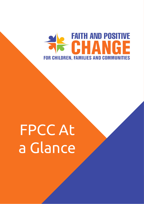

# FPCC At a Glance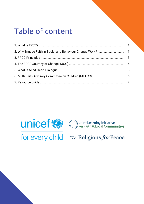# Table of content



for every child  $\rightsquigarrow$  Religions for Peace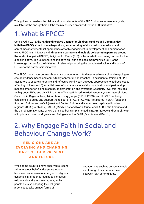This guide summarizes the vision and basic elements of the FPCC initiative. A resource guide, available at the end, gathers all the main resources produced for the FPCC initiative.

# 1. What is FPCC?

Conceived in 2018, the **Faith and Positive Change for Children, Families and Communities initiative (FPCC)** aims to move beyond single-sector, single-faith, small-scale, ad-hoc and sometimes instrumentalist approaches of faith engagement in development and humanitarian work. FPCC is an initiative with **three main partners and multiple collaborating partners around the world**. Alongside UNICEF, Religions for Peace (RfP) is the interfaith convening partner for the global initiative. The Joint Learning Initiative on Faith and Local Communities (JLI) is the knowledge partner for the initiative. JLI also helps to bring the coordinated voice and inputs of FBOs into the partnership initiatives.

The FPCC model incorporates three main components 1) faith-centered research and mapping to ensure evidence-based and contextually-appropriate approaches, 2) experiential training of FPCC facilitators to ensure interactive and reflective Mind-Heart Dialogue approaches to address issues affecting children and 3) establishment of sustainable inter-faith coordination and partnership mechanisms for on-going planning, implementation and oversight. At country level this includes faith groups, FBOs and UNICEF country office staff linked to existing country-level inter-religious Councils. At Regional level, Tripartite Advisory groups (RfP, JLI/FBOs and UNICEF are being established to guide and support the roll-out of FPCC. FPCC was first piloted in ESAR (East and Southern Africa), and WCAR (West and Central Africa) and is now being replicated in other regions: ROSA (South Asia); MENA (Middle East and North Africa) and LACR (Latin America and the Caribbean). Elements of FPCC are also being implemented in ECAR (Europe and Central Asia) with primary focus on Migrants and Refugees and in EAPR (East Asia and Pacific).

# 2. Why Engage Faith in Social and Behaviour Change Work?

## **RELIGIONS ARE AN EVOLVING AND CHANGING PART OF OUR PRESENT AND FUTURE**

While some countries have observed a recent fall in religious belief and practice, others have seen an increase or changes in religious dynamics. Migration is leading to increased religious diversity in some regions, while people are also adapting their religious practices to take on new forms of

engagement, such as on social media and through trans-national links between faith communities.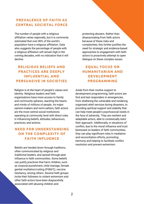### **PREVALENCE OF FAITH AS CENTRAL SOCIETAL FORCE**

The number of people with a religious affiliation varies regionally, but it is commonly estimated that over 80% of the world's population have a religious affiliation. Data also suggests the percentage of people with a religious affiliation will remain high in the coming decades, with no indication that it will decline.

## **RELIGIOUS BELIEFS AND PRACTICES ARE DEEPLY INFLUENTIAL AND PERSUASIVE IN SOCIETIES**

Religion is at the heart of people's values and identity. Religious leaders and faith organisations have more access to family and community spheres, reaching the hearts and minds of millions of people. As major opinion-makers and norm-setters, faith actors are the most central social institutions operating at community level with direct roles in influencing beliefs, attitudes, behaviours, practices, and actions.

## **NEED FOR UNDERSTANDING ON THE COMPLEXITY OF FAITH INFLUENCE**

Beliefs are handed down through traditions, often communicated by religious and traditional leaders, and spread through peer influence in faith communities. Some beliefs can justify practices that harm children, such as corporal punishment, child mariage, female genital mutilation/cutting (FGM/C), vaccine hesitancy, among others. Several faith groups incite their followers to violent extremism and other faith actors have been disgracefully associated with abusing children and

protecting abusers. Rather than disassociating from faith actors because of these risks and complexities, this further justifies the need for strategic and evidence-based approaches to engagement with faith actors to proactively attempt to open dialogue on these complex issues.

### **EQUAL FOCUS ON HUMANITARIAN AND DEVELOPMENT PROGRAMMING**

Aside from their routine support to development programming, faith actors are first and last responders in emergencies, from sheltering the vulnerable and rendering organised relief services during disasters, to providing spiritual support and stability that can help meet people's psychosocial needs in the face of adversity. They are resilient and adaptable actors, able to contextually tailor their approach. Additionally, in situations of conflict, due to the moral influence and trust bestowed on leaders of faith communities, they can play significant roles in mediation and reconciliation efforts, promoting harmony and helping to facilitate conflict resolution and prevent extremism.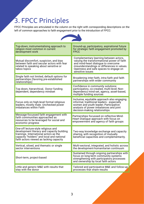# 3. FPCC Principles

FPCC Principles are articulated in the column on the right with corresponding descriptions on the left of common approaches to faith engagement prior to the introduction of FPCC:

| Top-down, instrumentalising approach to<br>religion most common in current<br>development work                                                                                                                      | Ground-up, participatory, aspirational future<br>for strategic faith engagement promoted by<br><b>FPCC</b>                                                                                                                               |  |
|---------------------------------------------------------------------------------------------------------------------------------------------------------------------------------------------------------------------|------------------------------------------------------------------------------------------------------------------------------------------------------------------------------------------------------------------------------------------|--|
| Mutual discomfort, suspicion, and bias<br>between faith and secular actors with fear<br>related to speaking about sensitive or<br>taboo topics                                                                      | Complementary learning between actors,<br>valuing the transformational power of faith<br>and mind-heart dialogue to overcome<br>misunderstandings or differences in values.<br>Openness and safe spaces to engage on<br>sensitive issues |  |
| Single faith not limited, default options for<br>partnerships (favoring pre-established<br>relationships)                                                                                                           | Broadening inter-faith, intra-faith and faith<br>partnerships with wider community                                                                                                                                                       |  |
| Top down, hierarchical, Donor funding<br>dependent, dependency mindset                                                                                                                                              | Confidence in community solutions:<br>participatory, co-created, multi-level; Non-<br>dependency mind-set, agency, asset-based,<br>multiple funding sources                                                                              |  |
| Focus only on high-level formal religious<br>leaders, mostly male. Unchecked power<br>imbalances within Faith                                                                                                       | Inclusive, equitable approach also engaging<br>informal, traditional leaders - especially<br>women and youth leader; Participative<br>analysis of power imbalances and joint<br>decision-making relationships                            |  |
| Message-focussed faith engagement with<br>faith communities approached as<br>resources to be leveraged for social and<br>economic progress                                                                          | Partnerships focussed on reflective Mind-<br>Heart Dialogue approach with focus on<br>empowerment and agency of faith groups                                                                                                             |  |
| One-off lecture-style religious and<br>development literacy and capacity building<br>trainings. International actors as the<br>capacity "holders" and local and national<br>faith actors viewed as lacking capacity | Two-way knowledge exchange and capacity<br>sharing, with recognition of mutually<br>beneficial capacities and complementarity.                                                                                                           |  |
| Vertical, siloed, and thematic or single<br>sector interventions                                                                                                                                                    | Multi-sectoral, integrated, and holistic across<br>the development-humanitarian continuum                                                                                                                                                |  |
| Short-term, project-based                                                                                                                                                                                           | Sustained through ongoing partnerships with<br>focus on long-term community systems<br>strengthening with participatory processes<br>and ownership by local faith actors                                                                 |  |
| Little and generic M&E with results that<br>stay with the donor                                                                                                                                                     | Tailored and participative M&E and follow-up<br>processes that share results                                                                                                                                                             |  |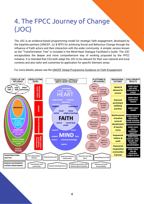# 4. The FPCC Journey of Change (JOC)

The JOC is an evidence-based programming model for strategic faith engagement, developed by the tripartite partners (UNICEF, JLI & RFP) for achieving Social and Behaviour Change through the influence of Faith actors and their interaction with the wider community. A simpler version known as the "Transformation Tree" is included in the Mind-Heart Dialogue Facilitator's Guide. The JOC encapsulates the deeper and more comprehensive way of working proposed by the FPCC Initiative. It is intended that COs both adapt the JOC to be relevant for their own national and local contexts and also tailor and customise its application for specific thematic areas.



For more details, please see the UNICEF Global Programme Guidance on Faith [Engagement.](https://www.faith4positivechange.org/_files/ugd/e98ce2_5b3703b4c279489a92eccdfa08f805bd.pdf)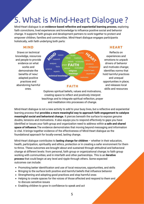# 5. What is Mind-Heart Dialogue ?

Mind-Heart dialogue is an **evidence-based reflective and experiential learning process**, exploring faith convictions, lived experiences and knowledge to influence positive social and behavior change. It supports faith groups and development partners to work together to protect and empower children, families and communities. Mind-Heart dialogue engages participants holistically, with faith underlying both parts:

### **MIND**

Draws on technical knowledge, resources and people to provide evidence on what works and demonstrate the benefits of new/ adapted positive practices and abandoning harmful ones.



Explores spiritual beliefs, values and motivations, creating space to reflect and positively interpret teachings and to integrate spiritual reflection, prayer and meditation into processes of change.

### **HEART**

Reflects on experiences and emotions to unpack drivers of behavior and motivate change; identifies norms that hold harmful practices and unequal opportunities in place; and releases local skills and resources

Mind-Heart dialogue is not a new activity to add to your busy lives, but a reflective and experiential learning process that **provides a more meaningful way to approach faith engagement to catalyze meaningful social and behavioral change.** It pierces beneath the surface to expose genuine doubts, tensions and motivations. It also equips you to respond effectively to gaps you have identified or issues your faith group and organization need to address within **a safe and shared space of influence**.The evidence demonstrates that moving beyond messaging and information is vital. It brings together evidence of the effectiveness of Mind-Heart dialogue as the foundational approach for locally-owned, lasting change.

Mind-Heart dialogue contributes to **lasting change for children** – whether in their education, health, participation, spirituality and ethics, protection or in creating a safer environment for them to thrive. These outcomes are brought about and sustained through attitudinal and behavioral change at different levels: from personal, faith group or organizational change; to faith group working with communities; and in interfaith and other partnerships. This is an **iterative process** that could begin at any level and ripple through others. Some expected outcomes can include:

- Promoting better identification and use of local resources, opportunities, and skills
- Bringing to the surface both positive and harmful beliefs that influence behavior
- Strengthening and adopting good practices and stop harmful ones
- Helping to create spaces for the voices of those affected and respond to them and to discuss sensitive issues
- Enabling children to grow in confidence to speak and act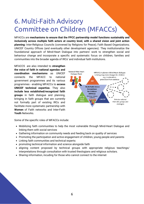# 6. Multi-Faith Advisory Committee on Children (MFACCs)

MFACCs are **mechanisms to ensure that the FPCC partnership model functions sustainably and inclusively across multiple faith actors at country level, with a shared vision and joint action planning:** Inter-Religious Councils (convened by Religions for Peace); Faith Based Organizations; UNICEF Country Offices (and eventually other development agencies). They institutionalize the foundational approach of Mind-Heart Dialogue into partners' work to strengthen social and behaviour change and incorporate a specific and systematic focus on children, families and communities into the broader agenda of IRCs' and individual faith institutions.

MFACCS are also intended to **strengthen the voice of faith in national agendas and coordination mechanisms** as UNICEF connects the MFACC to national government programmes and its various programmes - enabling MFACCs to **access UNICEF technical expertise.** They also **include less established/recognized faith groups** in faith dialogue and planning, bringing in faith groups that are currently not formally part of existing IRCs and facilitate more systematic partnership with **Women** of Faith networks and Inter-Faith **Youth** Networks.



Some of the specific roles of MFACCs include:

- Mobilizing faith communities to help the most vulnerable through Mind-Heart Dialogue and linking them with social services
- Gathering information on community needs and feeding back on quality of services
- Promoting the participation and active engagement of children, young people and parents
- Linking faith communities and technical experts:
- promoting technical information and science alongside faith
- aligning content proposed by technical groups with appropriate religious teachings/ interpretations through consultation with trusted theologians and religious scholars.
- Sharing information, incuding for those who cannot connect to the internet